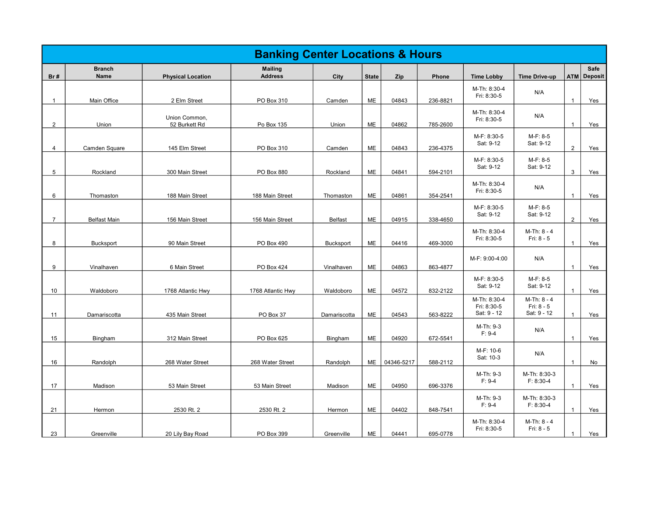|                |                         |                                    | <b>Banking Center Locations &amp; Hours</b> |                         |                 |                |                      |                                            |                                          |                              |                                   |
|----------------|-------------------------|------------------------------------|---------------------------------------------|-------------------------|-----------------|----------------|----------------------|--------------------------------------------|------------------------------------------|------------------------------|-----------------------------------|
| Br#            | <b>Branch</b><br>Name   | <b>Physical Location</b>           | <b>Mailing</b><br><b>Address</b>            | City                    | <b>State</b>    | Zip            | Phone                | <b>Time Lobby</b>                          | <b>Time Drive-up</b>                     |                              | <b>Safe</b><br><b>ATM Deposit</b> |
| $\mathbf{1}$   | Main Office             | 2 Elm Street                       | PO Box 310                                  | Camden                  | ME              | 04843          | 236-8821             | M-Th: 8:30-4<br>Fri: 8:30-5                | N/A                                      | $\mathbf{1}$                 | Yes                               |
| $\overline{2}$ | Union                   | Union Common,<br>52 Burkett Rd     | Po Box 135                                  | Union                   | ME              | 04862          | 785-2600             | M-Th: 8:30-4<br>Fri: 8:30-5                | N/A                                      | $\mathbf{1}$                 | Yes                               |
| 4              | Camden Square           | 145 Elm Street                     | PO Box 310                                  | Camden                  | ME              | 04843          | 236-4375             | M-F: 8:30-5<br>Sat: 9-12                   | M-F: 8-5<br>Sat: 9-12                    | $\overline{2}$               | Yes                               |
| 5              | Rockland                | 300 Main Street                    | PO Box 880                                  | Rockland                | ME              | 04841          | 594-2101             | M-F: 8:30-5<br>Sat: 9-12                   | M-F: 8-5<br>Sat: 9-12                    | $\mathbf{3}$                 | Yes                               |
| 6              | Thomaston               | 188 Main Street                    | 188 Main Street                             | Thomaston               | ME              | 04861          | 354-2541             | M-Th: 8:30-4<br>Fri: 8:30-5                | N/A                                      | $\mathbf{1}$                 | Yes                               |
| 7              | <b>Belfast Main</b>     | 156 Main Street                    | 156 Main Street                             | <b>Belfast</b>          | ME              | 04915          | 338-4650             | M-F: 8:30-5<br>Sat: 9-12                   | M-F: 8-5<br>Sat: 9-12                    | $\overline{2}$               | Yes                               |
| 8              | Bucksport               | 90 Main Street                     | PO Box 490                                  | Bucksport               | ME              | 04416          | 469-3000             | M-Th: 8:30-4<br>Fri: 8:30-5                | M-Th: 8 - 4<br>Fri: 8 - 5                | $\mathbf{1}$                 | Yes                               |
|                |                         |                                    |                                             |                         |                 |                |                      | M-F: 9:00-4:00                             | N/A                                      |                              |                                   |
| 9<br>10        | Vinalhaven<br>Waldoboro | 6 Main Street<br>1768 Atlantic Hwy | PO Box 424<br>1768 Atlantic Hwy             | Vinalhaven<br>Waldoboro | ME<br>ME        | 04863<br>04572 | 863-4877<br>832-2122 | M-F: 8:30-5<br>Sat: 9-12                   | M-F: 8-5<br>Sat: 9-12                    | $\mathbf{1}$<br>$\mathbf{1}$ | Yes<br>Yes                        |
| 11             | Damariscotta            | 435 Main Street                    | PO Box 37                                   | Damariscotta            | ME              | 04543          | 563-8222             | M-Th: 8:30-4<br>Fri: 8:30-5<br>Sat: 9 - 12 | M-Th: 8 - 4<br>Fri: 8 - 5<br>Sat: 9 - 12 | $\mathbf{1}$                 | Yes                               |
| 15             | Bingham                 | 312 Main Street                    | PO Box 625                                  | Bingham                 | ME              | 04920          | 672-5541             | M-Th: 9-3<br>$F: 9-4$                      | N/A                                      | $\mathbf{1}$                 | Yes                               |
| 16             | Randolph                | 268 Water Street                   | 268 Water Street                            | Randolph                | ME              | 04346-5217     | 588-2112             | M-F: 10-6<br>Sat: 10-3                     | N/A                                      | $\mathbf{1}$                 | No                                |
| 17             | Madison                 | 53 Main Street                     | 53 Main Street                              | Madison                 | ME              | 04950          | 696-3376             | M-Th: 9-3<br>$F: 9-4$                      | M-Th: 8:30-3<br>$F: 8:30-4$              | $\mathbf{1}$                 | Yes                               |
|                |                         |                                    |                                             |                         |                 |                |                      | M-Th: 9-3<br>$F: 9-4$                      | M-Th: 8:30-3<br>$F: 8:30-4$              |                              |                                   |
| 21<br>23       | Hermon<br>Greenville    | 2530 Rt. 2<br>20 Lily Bay Road     | 2530 Rt. 2<br>PO Box 399                    | Hermon<br>Greenville    | <b>ME</b><br>ME | 04402<br>04441 | 848-7541<br>695-0778 | M-Th: 8:30-4<br>Fri: 8:30-5                | M-Th: 8 - 4<br>Fri: 8 - 5                | $\mathbf{1}$<br>$\mathbf{1}$ | Yes<br>Yes                        |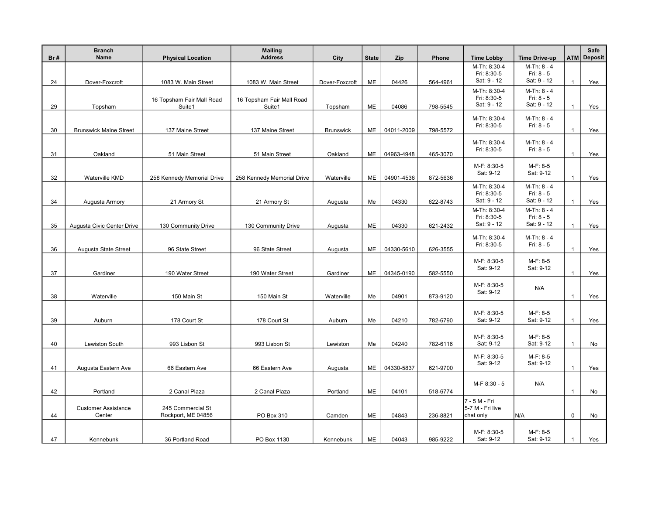| Br# | <b>Branch</b><br>Name         | <b>Physical Location</b>   | <b>Mailing</b><br><b>Address</b> | City             | <b>State</b> | Zip        | Phone    | <b>Time Lobby</b>           | <b>Time Drive-up</b>      |              | Safe<br><b>ATM Deposit</b> |
|-----|-------------------------------|----------------------------|----------------------------------|------------------|--------------|------------|----------|-----------------------------|---------------------------|--------------|----------------------------|
|     |                               |                            |                                  |                  |              |            |          | M-Th: 8:30-4                | M-Th: 8 - 4               |              |                            |
| 24  |                               |                            |                                  | Dover-Foxcroft   | ME           | 04426      | 564-4961 | Fri: 8:30-5<br>Sat: 9 - 12  | Fri: 8 - 5<br>Sat: 9 - 12 | $\mathbf{1}$ | Yes                        |
|     | Dover-Foxcroft                | 1083 W. Main Street        | 1083 W. Main Street              |                  |              |            |          | M-Th: 8:30-4                | M-Th: 8 - 4               |              |                            |
|     |                               | 16 Topsham Fair Mall Road  | 16 Topsham Fair Mall Road        |                  |              |            |          | Fri: 8:30-5                 | Fri: 8 - 5                |              |                            |
| 29  | Topsham                       | Suite1                     | Suite1                           | Topsham          | ME           | 04086      | 798-5545 | Sat: 9 - 12                 | Sat: 9 - 12               | $\mathbf{1}$ | Yes                        |
|     |                               |                            |                                  |                  |              |            |          | M-Th: 8:30-4                | M-Th: 8 - 4               |              |                            |
| 30  | <b>Brunswick Maine Street</b> | 137 Maine Street           | 137 Maine Street                 | <b>Brunswick</b> | ME           | 04011-2009 | 798-5572 | Fri: 8:30-5                 | Fri: 8 - 5                | $\mathbf{1}$ | Yes                        |
|     |                               |                            |                                  |                  |              |            |          |                             |                           |              |                            |
|     |                               |                            |                                  |                  |              |            |          | M-Th: 8:30-4<br>Fri: 8:30-5 | M-Th: 8 - 4<br>Fri: 8 - 5 |              |                            |
| 31  | Oakland                       | 51 Main Street             | 51 Main Street                   | Oakland          | ME           | 04963-4948 | 465-3070 |                             |                           | $\mathbf{1}$ | Yes                        |
|     |                               |                            |                                  |                  |              |            |          | M-F: 8:30-5                 | M-F: 8-5                  |              |                            |
| 32  | Waterville KMD                | 258 Kennedy Memorial Drive | 258 Kennedy Memorial Drive       | Waterville       | ME           | 04901-4536 | 872-5636 | Sat: 9-12                   | Sat: 9-12                 | $\mathbf{1}$ | Yes                        |
|     |                               |                            |                                  |                  |              |            |          | M-Th: 8:30-4                | M-Th: 8 - 4               |              |                            |
|     |                               |                            |                                  |                  |              |            |          | Fri: 8:30-5                 | Fri: 8 - 5                |              |                            |
| 34  | Augusta Armory                | 21 Armory St               | 21 Armory St                     | Augusta          | Me           | 04330      | 622-8743 | Sat: 9 - 12                 | Sat: 9 - 12               | $\mathbf{1}$ | Yes                        |
|     |                               |                            |                                  |                  |              |            |          | M-Th: 8:30-4<br>Fri: 8:30-5 | M-Th: 8 - 4<br>Fri: 8 - 5 |              |                            |
| 35  | Augusta Civic Center Drive    | 130 Community Drive        | 130 Community Drive              | Augusta          | <b>ME</b>    | 04330      | 621-2432 | Sat: 9 - 12                 | Sat: 9 - 12               | $\mathbf{1}$ | Yes                        |
|     |                               |                            |                                  |                  |              |            |          | M-Th: 8:30-4                | M-Th: 8 - 4               |              |                            |
|     |                               |                            |                                  |                  |              |            |          | Fri: 8:30-5                 | Fri: 8 - 5                |              |                            |
| 36  | Augusta State Street          | 96 State Street            | 96 State Street                  | Augusta          | ME           | 04330-5610 | 626-3555 |                             |                           | $\mathbf{1}$ | Yes                        |
|     |                               |                            |                                  |                  |              |            |          | M-F: 8:30-5                 | M-F: 8-5                  |              |                            |
| 37  | Gardiner                      | 190 Water Street           | 190 Water Street                 | Gardiner         | ME           | 04345-0190 | 582-5550 | Sat: 9-12                   | Sat: 9-12                 | $\mathbf{1}$ | Yes                        |
|     |                               |                            |                                  |                  |              |            |          | M-F: 8:30-5                 |                           |              |                            |
|     |                               |                            |                                  |                  |              |            |          | Sat: 9-12                   | N/A                       |              |                            |
| 38  | Waterville                    | 150 Main St                | 150 Main St                      | Waterville       | Me           | 04901      | 873-9120 |                             |                           | $\mathbf{1}$ | Yes                        |
|     |                               |                            |                                  |                  |              |            |          | M-F: 8:30-5                 | M-F: 8-5                  |              |                            |
| 39  | Auburn                        | 178 Court St               | 178 Court St                     | Auburn           | Me           | 04210      | 782-6790 | Sat: 9-12                   | Sat: 9-12                 | $\mathbf{1}$ | Yes                        |
|     |                               |                            |                                  |                  |              |            |          |                             |                           |              |                            |
| 40  | <b>Lewiston South</b>         | 993 Lisbon St              | 993 Lisbon St                    | Lewiston         | Me           | 04240      | 782-6116 | M-F: 8:30-5<br>Sat: 9-12    | M-F: 8-5<br>Sat: 9-12     | $\mathbf{1}$ | No                         |
|     |                               |                            |                                  |                  |              |            |          |                             |                           |              |                            |
|     |                               |                            |                                  |                  |              |            |          | M-F: 8:30-5<br>Sat: 9-12    | M-F: 8-5<br>Sat: 9-12     |              |                            |
| 41  | Augusta Eastern Ave           | 66 Eastern Ave             | 66 Eastern Ave                   | Augusta          | ME           | 04330-5837 | 621-9700 |                             |                           | $\mathbf{1}$ | Yes                        |
|     |                               |                            |                                  |                  |              |            |          | M-F 8:30 - 5                | N/A                       |              |                            |
| 42  | Portland                      | 2 Canal Plaza              | 2 Canal Plaza                    | Portland         | ME           | 04101      | 518-6774 |                             |                           | $\mathbf{1}$ | No                         |
|     |                               |                            |                                  |                  |              |            |          | 7 - 5 M - Fri               |                           |              |                            |
|     | <b>Customer Assistance</b>    | 245 Commercial St          |                                  |                  |              |            |          | 5-7 M - Fri live            |                           |              |                            |
| 44  | Center                        | Rockport, ME 04856         | PO Box 310                       | Camden           | ME           | 04843      | 236-8821 | chat only                   | N/A                       | $\mathbf 0$  | No                         |
|     |                               |                            |                                  |                  |              |            |          | M-F: 8:30-5                 | M-F: 8-5                  |              |                            |
| 47  | Kennebunk                     | 36 Portland Road           | PO Box 1130                      | Kennebunk        | ME           | 04043      | 985-9222 | Sat: 9-12                   | Sat: 9-12                 | $\mathbf{1}$ | Yes                        |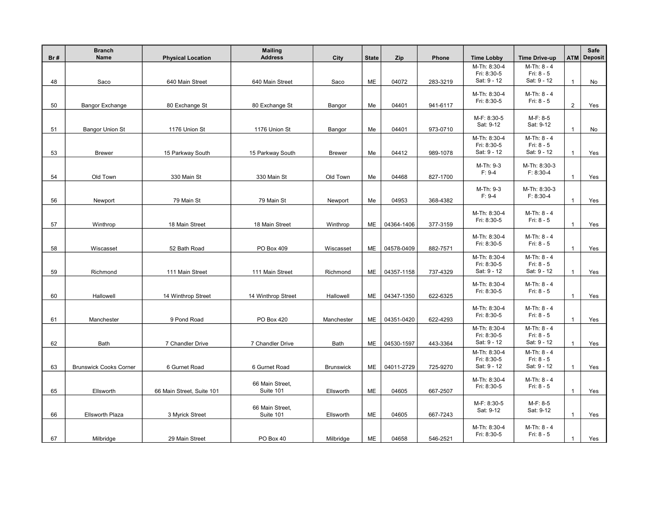| Br# | <b>Branch</b><br>Name         | <b>Physical Location</b>  | <b>Mailing</b><br><b>Address</b> | City             | <b>State</b> | Zip        | Phone    | <b>Time Lobby</b>           | <b>Time Drive-up</b>        |                | Safe<br><b>ATM Deposit</b> |
|-----|-------------------------------|---------------------------|----------------------------------|------------------|--------------|------------|----------|-----------------------------|-----------------------------|----------------|----------------------------|
|     |                               |                           |                                  |                  |              |            |          | M-Th: 8:30-4                | M-Th: 8 - 4                 |                |                            |
| 48  | Saco                          | 640 Main Street           | 640 Main Street                  | Saco             | ME           | 04072      | 283-3219 | Fri: 8:30-5<br>Sat: 9 - 12  | Fri: 8 - 5<br>Sat: 9 - 12   | $\mathbf{1}$   | No                         |
|     |                               |                           |                                  |                  |              |            |          | M-Th: 8:30-4                | M-Th: 8 - 4                 |                |                            |
|     |                               |                           |                                  |                  |              |            |          | Fri: 8:30-5                 | Fri: $8 - 5$                |                |                            |
| 50  | Bangor Exchange               | 80 Exchange St            | 80 Exchange St                   | Bangor           | Me           | 04401      | 941-6117 |                             |                             | $\overline{2}$ | Yes                        |
|     |                               |                           |                                  |                  |              |            |          | M-F: 8:30-5                 | M-F: 8-5                    |                |                            |
| 51  | <b>Bangor Union St</b>        | 1176 Union St             | 1176 Union St                    | Bangor           | Me           | 04401      | 973-0710 | Sat: 9-12                   | Sat: 9-12                   | $\mathbf{1}$   | No                         |
|     |                               |                           |                                  |                  |              |            |          | M-Th: 8:30-4<br>Fri: 8:30-5 | M-Th: 8 - 4<br>Fri: 8 - 5   |                |                            |
| 53  | <b>Brewer</b>                 | 15 Parkway South          | 15 Parkway South                 | <b>Brewer</b>    | Me           | 04412      | 989-1078 | Sat: 9 - 12                 | Sat: 9 - 12                 | $\mathbf{1}$   | Yes                        |
|     |                               |                           |                                  |                  |              |            |          | M-Th: 9-3                   | M-Th: 8:30-3                |                |                            |
|     |                               |                           |                                  |                  |              |            |          | $F: 9-4$                    | $F: 8:30-4$                 | $\mathbf{1}$   |                            |
| 54  | Old Town                      | 330 Main St               | 330 Main St                      | Old Town         | Me           | 04468      | 827-1700 |                             |                             |                | Yes                        |
|     |                               |                           |                                  |                  |              |            |          | M-Th: 9-3<br>$F: 9-4$       | M-Th: 8:30-3<br>$F: 8:30-4$ |                |                            |
| 56  | Newport                       | 79 Main St                | 79 Main St                       | Newport          | Me           | 04953      | 368-4382 |                             |                             | $\mathbf{1}$   | Yes                        |
|     |                               |                           |                                  |                  |              |            |          | M-Th: 8:30-4                | M-Th: 8 - 4                 |                |                            |
| 57  | Winthrop                      | 18 Main Street            | 18 Main Street                   | Winthrop         | ME           | 04364-1406 | 377-3159 | Fri: 8:30-5                 | Fri: 8 - 5                  | $\mathbf{1}$   | Yes                        |
|     |                               |                           |                                  |                  |              |            |          | M-Th: 8:30-4                | M-Th: 8 - 4                 |                |                            |
| 58  | Wiscasset                     | 52 Bath Road              | PO Box 409                       | Wiscasset        | ME           | 04578-0409 | 882-7571 | Fri: 8:30-5                 | Fri: 8 - 5                  | $\mathbf{1}$   | Yes                        |
|     |                               |                           |                                  |                  |              |            |          | M-Th: 8:30-4                | M-Th: 8 - 4                 |                |                            |
|     |                               |                           |                                  |                  |              |            |          | Fri: 8:30-5                 | Fri: 8 - 5                  |                |                            |
| 59  | Richmond                      | 111 Main Street           | 111 Main Street                  | Richmond         | ME           | 04357-1158 | 737-4329 | Sat: 9 - 12                 | Sat: 9 - 12                 | $\mathbf{1}$   | Yes                        |
|     |                               |                           |                                  |                  |              |            |          | M-Th: 8:30-4                | M-Th: 8 - 4                 |                |                            |
| 60  | Hallowell                     | 14 Winthrop Street        | 14 Winthrop Street               | Hallowell        | ME           | 04347-1350 | 622-6325 | Fri: 8:30-5                 | Fri: $8 - 5$                | $\mathbf{1}$   | Yes                        |
|     |                               |                           |                                  |                  |              |            |          | M-Th: 8:30-4                | M-Th: 8 - 4                 |                |                            |
| 61  | Manchester                    | 9 Pond Road               | PO Box 420                       | Manchester       | ME           | 04351-0420 | 622-4293 | Fri: 8:30-5                 | Fri: 8 - 5                  | $\overline{1}$ | Yes                        |
|     |                               |                           |                                  |                  |              |            |          | M-Th: 8:30-4                | M-Th: 8 - 4                 |                |                            |
|     |                               |                           |                                  |                  |              |            |          | Fri: 8:30-5                 | Fri: 8 - 5                  |                |                            |
| 62  | <b>Bath</b>                   | 7 Chandler Drive          | 7 Chandler Drive                 | Bath             | ME           | 04530-1597 | 443-3364 | Sat: 9 - 12                 | Sat: 9 - 12                 | $\mathbf{1}$   | Yes                        |
|     |                               |                           |                                  |                  |              |            |          | M-Th: 8:30-4<br>Fri: 8:30-5 | M-Th: 8 - 4<br>Fri: 8 - 5   |                |                            |
| 63  | <b>Brunswick Cooks Corner</b> | 6 Gurnet Road             | 6 Gurnet Road                    | <b>Brunswick</b> | ME           | 04011-2729 | 725-9270 | Sat: 9 - 12                 | Sat: 9 - 12                 | $\mathbf{1}$   | Yes                        |
|     |                               |                           |                                  |                  |              |            |          | M-Th: 8:30-4                | $M-Th: 8 - 4$               |                |                            |
| 65  | Ellsworth                     | 66 Main Street, Suite 101 | 66 Main Street,<br>Suite 101     | Ellsworth        | ME           | 04605      | 667-2507 | Fri: 8:30-5                 | Fri: 8 - 5                  | $\mathbf{1}$   | Yes                        |
|     |                               |                           |                                  |                  |              |            |          |                             | M-F: 8-5                    |                |                            |
|     |                               |                           | 66 Main Street,                  |                  |              |            |          | M-F: 8:30-5<br>Sat: 9-12    | Sat: 9-12                   |                |                            |
| 66  | <b>Ellsworth Plaza</b>        | 3 Myrick Street           | Suite 101                        | Ellsworth        | ME           | 04605      | 667-7243 |                             |                             | $\mathbf{1}$   | Yes                        |
|     |                               |                           |                                  |                  |              |            |          | M-Th: 8:30-4                | M-Th: 8 - 4                 |                |                            |
| 67  | Milbridge                     | 29 Main Street            | PO Box 40                        | Milbridge        | ME           | 04658      | 546-2521 | Fri: 8:30-5                 | Fri: $8 - 5$                | $\mathbf{1}$   | Yes                        |